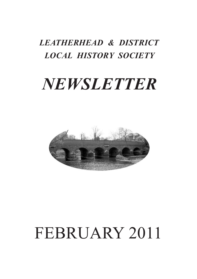# *LEATHERHEAD & DISTRICT LOCAL HISTORY SOCIETY*

# *NEWSLETTER*



# FEBRUARY 2011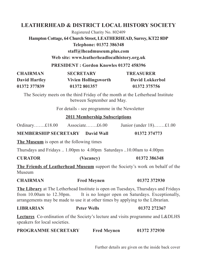# **LEATHERHEAD & DISTRICT LOCAL HISTORY SOCIETY**

Registered Charity No. 802409

**Hampton Cottage, 64 Church Street, LEATHERHEAD, Surrey, KT22 8DP Telephone: 01372 386348**

**staff@lheadmuseum.plus.com**

**Web site: www.leatherheadlocalhistory.org.uk**

**PRESIDENT : Gordon Knowles 01372 458396**

| <b>CHAIRMAN</b>      | <b>SECRETARY</b>            | <b>TREASURER</b>       |
|----------------------|-----------------------------|------------------------|
| <b>David Hartley</b> | <b>Vivien Hollingsworth</b> | <b>David Lokkerbol</b> |
| 01372 377839         | 01372 801357                | 01372 375756           |

The Society meets on the third Friday of the month at the Letherhead Institute between September and May.

For details - see programme in the Newsletter

### **2011 Membership Subscriptions**

| Ordinary $£18.00$ | Associate $£6.00$ |  |  | Junior (under $18$ ) $\pounds1.00$ |
|-------------------|-------------------|--|--|------------------------------------|
|-------------------|-------------------|--|--|------------------------------------|

**MEMBERSHIP SECRETARY David Wall 01372 374773**

**The Museum** is open at the following times

Thursdays and Fridays .. 1.00pm to 4.00pm Saturdays ..10.00am to 4.00pm

| (Vacancy) | 01372 386348 |
|-----------|--------------|
|           |              |

**The Friends of Leatherhead Museum** support the Society's work on behalf of the Museum

| <b>CHAIRMAN</b> | <b>Fred Mevnen</b> | 01372 372930 |
|-----------------|--------------------|--------------|
|-----------------|--------------------|--------------|

**The Library** at The Letherhead Institute is open on Tuesdays, Thursdays and Fridays from 10.00am to 12.30pm. It is no longer open on Saturdays. Exceptionally, arrangements may be made to use it at other times by applying to the Librarian.

| <b>LIBRARIAN</b><br><b>Peter Wells</b> |  | 01372 272367 |
|----------------------------------------|--|--------------|
|----------------------------------------|--|--------------|

**Lectures** Co-ordination of the Society's lecture and visits programme and L&DLHS speakers for local societies.

| <b>PROGRAMME SECRETARY</b> | <b>Fred Meynen</b> | 01372 372930 |
|----------------------------|--------------------|--------------|
|----------------------------|--------------------|--------------|

Further details are given on the inside back cover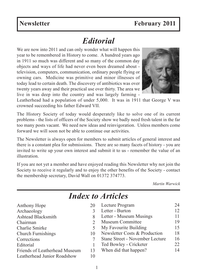# *Editorial*

We are now into 2011 and can only wonder what will happen this year to be remembered in History to come. A hundred years ago in 1911 so much was different and so many of the common day objects and ways of life had never even been dreamed about television, computers, communication, ordinary people flying or owning cars. Medicine was primitive and minor illnesses of today lead to certain death. The discovery of antibiotics was over twenty years away and their practical use over thirty. The area we live in was deep into the country and was largely farming -



The History Society of today would desperately like to solve one of its current problems - the lists of officers of the Society show we badly need fresh talent in the far too many posts vacant. We need new ideas and reinvigoration. Unless members come forward we will soon not be able to continue our activities.

The Newsletter is always open for members to submit articles of general interest and there is a constant plea for submissions. There are so many facets of history - you are invited to write up your own interest and submit it to us - remember the value of an illustration.

If you are not yet a member and have enjoyed reading this Newsletter why not join the Society to receive it regularly and to enjoy the other benefits of the Society - contact the membership secretary, David Wall on 01372 374773.

*Martin Warwick*

| Anthony Hope                  | 20 | Lecture Program                 | 24 |
|-------------------------------|----|---------------------------------|----|
| Archaeology                   |    | Letter - Burton                 | 12 |
| Ashtead Blacksmith            |    | Letter - Museum Musings         |    |
| Chairman                      |    | Museum Committee                | 19 |
| Charlie Smirke                |    | My Favourite Building           | 15 |
| <b>Church Furnishings</b>     | 10 | Newsletter Costs & Production   | 18 |
| Corrections                   |    | Stane Street - November Lecture | 16 |
| Editorial                     |    | Ted Bowley - Cricketer          | 22 |
| Friends of Leatherhead Museum | 13 | When did that happen?           | 14 |
| Leatherhead Junior Roadshow   | 10 |                                 |    |
|                               |    |                                 |    |

# *Index to Articles*

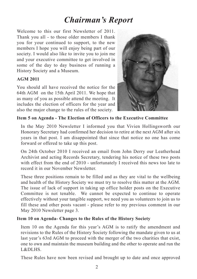# *Chairman's Report*

Welcome to this our first Newsletter of 2011. Thank you all - to those older members I thank you for your continued to support, to the new members I hope you will enjoy being part of our society. I would also like to invite you to join me and your executive committee to get involved in some of the day to day business of running a History Society and a Museum.

### **AGM 2011**

You should all have received the notice for the 64th AGM on the 15th April 2011. We hope that as many of you as possible attend the meeting. It includes the election of officers for the year and also the major change to the rules of the society.



### **Item 5 on Agenda - The Election of Officers to the Executive Committee**

In the May 2010 Newsletter I informed you that Vivien Hollingsworth our Honorary Secretary had confirmed her decision to retire at the next AGM after six years in that post. I am disappointed that since that notice no one has come forward or offered to take up this post.

On 24th October 2010 I received an email from John Derry our Leatherhead Archivist and acting Records Secretary, tendering his notice of these two posts with effect from the end of 2010 - unfortunately I received this news too late to record it in our November Newsletter.

These three positions remain to be filled and as they are vital to the wellbeing and health of the History Society we must try to resolve this matter at the AGM. The issue of lack of support in taking up office holder posts on the Executive Committee is not tenable. We cannot be expected to continue to operate effectively without your tangible support, we need you as volunteers to join us to fill these and other posts vacant - please refer to my previous comment in our May 2010 Newsletter page 3.

### **Item 10 on Agenda- Changes to the Rules of the History Society**

Item 10 on the Agenda for this year's AGM is to ratify the amendment and revisions to the Rules of the History Society following the mandate given to us at last year's 63rd AGM to proceed with the merger of the two charities that exist, one to own and maintain the museum building and the other to operate and run the L&DLHS.

These Rules have now been revised and brought up to date and once approved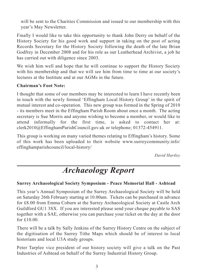will be sent to the Charities Commission and issued to our membership with this year's May Newsletter.

Finally I would like to take this opportunity to thank John Derry on behalf of the History Society for his good work and support in taking on the post of acting Records Secretary for the History Society following the death of the late Brian Godfrey in December 2008 and for his role as our Leatherhead Archivist, a job he has carried out with diligence since 2003.

We wish him well and hope that he will continue to support the History Society with his membership and that we will see him from time to time at our society's lectures at the Institute and at our AGMs in the future.

## **Chairman's Foot Note:**

I thought that some of our members may be interested to learn I have recently been in touch with the newly formed 'Effingham Local History Group' in the spirit of mutual interest and co-operation. This new group was formed in the Spring of 2010 - its members meet in the Effingham Parish Room about once a month. The acting secretary is Sue Morris and anyone wishing to become a member, or would like to attend informally for the first time, is asked to contact her at: clerk2010@EffinghamParishCouncil.gov.uk or telephone; 01372-454911.

This group is working on many varied themes relating to Effingham's history. Some of this work has been uploaded to their website www.surreycommunity.info/ effinghamparishcouncil/local-history/

*David Hartley*

# *Archaeology Report*

### **Surrey Archaeological Society Symposium - Peace Memorial Hall - Ashtead**

This year's Annual Symposium of the Surrey Archaeological Society will be held on Saturday 26th February starting at 10.00am. Tickets can be purchased in advance for £8.00 from Emma Coburn at the Surrey Archaeological Society at Castle Arch Guildford GU1 3SX. If you are interested please send your cheque payable to SAS together with a SAE, otherwise you can purchase your ticket on the day at the door for £10.00.

There will be a talk by Sally Jenkins of the Surrey History Centre on the subject of the digitisation of the Surrey Tithe Maps which should be of interest to local historians and local U3A study groups.

Peter Tarplee vice president of our history society will give a talk on the Past Industries of Ashtead on behalf of the Surrey Industrial History Group.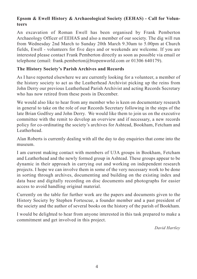## **Epsom & Ewell History & Archaeological Society (EEHAS) - Call for Volunteers**

An excavation of Roman Ewell has been organised by Frank Pemberton Archaeology Officer of EEHAS and also a member of our society. The dig will run from Wednesday 2nd March to Sunday 20th March 9.30am to 5.00pm at Church fields, Ewell - volunteers for five days and or weekends are welcome. If you are interested please contact Frank Pemberton directly as soon as possible via email or telephone (email: frank.pemberton@btopenworld.com or 01306 640179).

### **The History Society's Parish Archives and Records**

As I have reported elsewhere we are currently looking for a volunteer, a member of the history society to act as the Leatherhead Archivist picking up the reins from John Derry our previous Leatherhead Parish Archivist and acting Records Secretary who has now retired from these posts in December.

We would also like to hear from any member who is keen on documentary research in general to take on the role of our Records Secretary following in the steps of the late Brian Godfrey and John Derry. We would like them to join us on the executive committee with the remit to develop an overview and if necessary, a new records policy for co-ordinating the society's archives for Ashtead, Bookham, Fetcham and Leatherhead.

Alan Roberts is currently dealing with all the day to day enquiries that come into the museum.

I am current making contact with members of U3A groups in Bookham, Fetcham and Leatherhead and the newly formed group in Ashtead. These groups appear to be dynamic in their approach in carrying out and working on independent research projects. I hope we can involve them in some of the very necessary work to be done in sorting through archives, documenting and building on the existing index and data base and digitally recording on disc documents and photographs for easier access to avoid handling original material.

Currently on the table for further work are the papers and documents given to the History Society by Stephen Fortescue, a founder member and a past president of the society and the author of several books on the history of the parish of Bookham.

I would be delighted to hear from anyone interested in this task prepared to make a commitment and get involved in this project.

*David Hartley*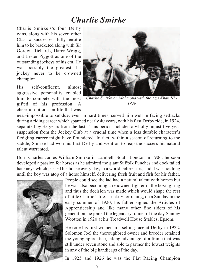# *Charlie Smirke*

Charlie Smirke's's four Derby wins, along with his seven other Classic successes, fully entitle him to be bracketed along with Sir Gordon Richards, Harry Wragg, and Lester Piggott as one of the outstanding jockeys of his era. He was possibly the greatest flat jockey never to be crowned champion.

His self-confident, almost aggressive personality enabled him to compete with the most gifted of his profession. A cheerful outlook on life that was



*Charlie Smirke on Mahmoud with the Aga Khan III - 1936*

near-impossible to subdue, even in hard times, served him well in facing setbacks during a riding career which spanned nearly 40 years, with his first Derby ride, in 1924, separated by 35 years from the last. This period included a wholly unjust five-year suspension from the Jockey Club at a crucial time when a less durable character's fledgling career might have floundered. In fact, within a season of returning to the saddle, Smirke had won his first Derby and went on to reap the success his natural talent warranted.

Born Charles James William Smirke in Lambeth South London in 1906, he soon developed a passion for horses as he admired the giant Suffolk Punches and dock tailed hackneys which passed his house every day, in a world before cars, and it was not long until the boy was atop of a horse himself, delivering fresh fruit and fish for his father.



People could see the lad had a natural talent with horses but he was also becoming a renowned fighter in the boxing ring and thus the decision was made which would shape the rest of little Charlie's life. Luckily for racing, on a Sunday in the early summer of 1920, his father signed the Articles of Apprenticeship and like many other fine riders of his generation, he joined the legendary trainer of the day Stanley Wootton in 1920 at his Treadwell House Stables, Epsom.

He rode his first winner in a selling race at Derby in 1922. Solomon Joel the thoroughbred owner and breeder retained the young apprentice, taking advantage of a frame that was still under seven stone and able to partner the lowest weights in any of the big handicaps of the day.

In 1925 and 1926 he was the Flat Racing Champion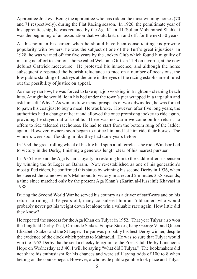Apprentice Jockey. Being the apprentice who has ridden the most winning horses (70 and 71 respectively), during the Flat Racing season. In 1926, the penultimate year of his apprenticeship, he was retained by the Aga Khan III (Sultan Mohammed Shah). It was the beginning of an association that would last, on and off, for the next 30 years.

At this point in his career, when he should have been consolidating his growing popularity with owners, he was the subject of one of the Turf's great injustices. In 1928, he was warned off for five years by the Jockey Club which found him guilty of making no effort to start on a horse called Welcome Gift, an 11-4 on favorite, at the now defunct Gatwick racecourse. He protested his innocence, and although the horse subsequently repeated the boorish reluctance to race on a number of occasions, the low public standing of jockeys at the time in the eyes of the racing establishment ruled out the possibility of justice on appeal.

As money ran low, he was forced to take up a job working in Brighton - cleaning beach huts. At night he would lie in his bed under the town's pier wrapped in a tarpaulin and ask himself 'Why?' As winter drew in and prospects of work dwindled, he was forced to pawn his coat just to buy a meal. He was broke. However, after five long years, the authorities had a change of heart and allowed the once promising jockey to ride again, providing he stayed out of trouble. There was no warm welcome on his return, no offers to ride talented racehorses. He had to start from the bottom rung of the ladder again. However, owners soon began to notice him and let him ride their horses. The winners were soon flooding in like they had done years before.

In 1934 the great rolling wheel of his life had spun a full circle as he rode Windsor Lad to victory in the Derby, finishing a generous length clear of his nearest pursuer.

In 1935 he repaid the Aga Khan's loyalty in restoring him to the saddle after suspension by winning the St Leger on Bahram. Now re-established as one of his generation's most gifted riders, he confirmed this status by winning his second Derby in 1936, when he steered the same owner's Mahmoud to victory in a record 2 minutes 33.8 seconds, a time since matched only by the present Aga Khan's (Karīm al-Hussainī) Khayasi in 1988.

During the Second World War he served his country as a driver of staff-cars and on his return to riding at 39 years old, many considered him an 'old timer' who would probably never get his weight down let alone win a valuable race again. How little did they know?

He repeated the success for the Aga Khan on Tulyar in 1952. That year Tulyar also won the Lingfield Derby Trial, Ormonde Stakes, Eclipse Stakes, King George VI and Queen Elizabeth Stakes and the St Leger. Tulyar was probably his best Derby winner, despite the evidence of the clock which points to Mahmoud. He was so sure that Tulyar would win the 1952 Derby that he sent a cheeky telegram to the Press Club Derby Luncheon: Hope on Wednesday at 3:40, I will be saying "what did I Tulyar." The bookmakers did not share his enthusiasm for his chances and were still laying odds of 100 to 8 when betting on the course began. However, a wholesale public gamble took place and Tulyar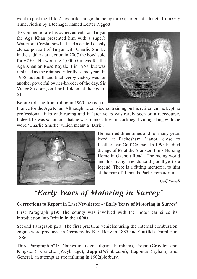went to post the 11 to 2 favourite and got home by three quarters of a length from Gay Time, ridden by a teenager named Lester Piggott.

To commemorate his achievements on Tulyar the Aga Khan presented him with a superb Waterford Crystal bowl. It had a central deeply etched portrait of Tulyar with Charlie Smirke in the saddle - at auction in 2007 the bowl sold for £750. He won the 1,000 Guineas for the Aga Khan on Rose Royale II in 1957, but was replaced as the retained rider the same year. In 1958 his fourth and final Derby victory was for another powerful owner-breeder of the day, Sir Victor Sassoon, on Hard Ridden, at the age of 51.

Before retiring from riding in 1960, he rode in

France for the Aga Khan. Although he considered training on his retirement he kept no professional links with racing and in later years was rarely seen on a racecourse. Indeed, he was so famous that he was immortalised in cockney rhyming slang with the word 'Charlie Smirke' which meant a 'Berk'.



He married three times and for many years lived at Pachesham Manor, close to Leatherhead Golf Course. In 1993 he died the age of 87 at the Manston Elms Nursing Home in Oxshott Road. The racing world and his many friends said goodbye to a legend. There is a fitting memorial to him at the rear of Randalls Park Crematorium

*Goff Powell*

# *'Early Years of Motoring in Surrey'*

## **Corrections to Report in Last Newsletter - 'Early Years of Motoring in Surrey'**

First Paragraph p19: The county was involved with the motor car since its introduction into Britain in the **1890**s.

Second Paragraph p20: The first practical vehicles using the internal combustion engine were produced in Germany by Karl Benz in 1885 and **Gottlieb** Daimler in 1886.

Third Paragraph p21: Names included Pilgrim (Farnham), Trojan (Croydon and Kingston), Carlette (Weybridge), **Jappic**(Wimbledon), Lagonda (Egham) and General, an attempt at streamlining in 1902(Norbury)

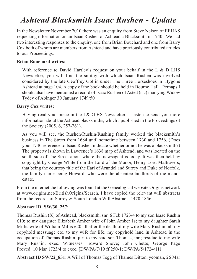# *Ashtead Blacksmith Isaac Rushen - Update*

In the Newsletter November 2010 there was an enquiry from Steve Nelson of EEHAS requesting information on an Isaac Rushen of Ashtead a Blacksmith in 1740. We had two interesting responses to the enquiry, one from Brian Bouchard and one from Barry Cox both of whom are members from Ashtead and have previously contributed articles to our Proceedings.

### **Brian Bouchard writes:**

With reference to David Hartley's request on your behalf in the L & D LHS Newsletter, you will find the smithy with which Isaac Rushen was involved considered by the late Geoffrey Gollin under The Three Horseshoes in Bygone Ashtead at page 104. A copy of the book should be held in Bourne Hall. Perhaps I should also have mentioned a record of Isaac Rushen of Asted (sic) marrying Widow Tydey of Abinger 30 January 1749/50

### **Barry Cox writes:**

Having read your piece in the L&DLHS Newsletter, I hasten to send you more information about the Ashtead blacksmiths, which I published in the Proceedings of the Society (2005, 6, 257-261).

As you will see, the Rushen/Rushin/Rushing family worked the blacksmith's business in The Street from 1684 until sometime between 1730 and 1756. (Does your 1740 reference to Isaac Rushen indicate whether or not he was a blacksmith?) The property is shown in Lawrence's 1638 map of Ashtead, and was located on the south side of The Street about where the newsagent is today. It was then held by copyright by George White from the Lord of the Manor, Henry Lord Maltravers, that being the courtesy title of the Earl of Arundel and Surrey and Duke of Norfolk, the family name being Howard, who were the absentee landlords of the manor estate.

From the internet the following was found at the Genealogical website Origins network at www.origins.net/BritishOrigins/Search. I have copied the relevant will abstracts from the records of Surrey & South London Will Abstracts 1470-1856.

### **Abstract ID. SW/30\_257:**

Thomas Rushin (X) of Ashtead, blacksmith, snr. 6 Feb 1723/4 to my son Isaac Rushin £10; to my daughter Elizabeth Amber wife of John Amber 1s; to my daughter Sarah Millis wife of William Millis £20 all after the death of my wife Mary Rushin; all my copyhold messuage etc. to my wife for life; my copyhold land in Ashtead in the occupation of Thomas Rushin, jnr; to my said son Thomas, jnr.; residue to my wife Mary Rushin, exec. Witnesses: Edward Shove; John Chette; George Page Proved: 10 Mar 1723/4 to exec. [DW/PA/7/19 ff.250-1; DW/PA/5/1724/111

**Abstract ID SW/22\_831**: A Will of Thomas Tegg of Thames Ditton, yeoman, 26 Mar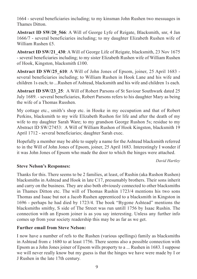1664 - several beneficiaries including; to my kinsman John Rushen two messuages in Thames Ditton.

**Abstract ID SW/20\_566**: A Will of George Lyfe of Reigate, Blacksmith, snr, 4 Jan 1666/7 - several beneficiaries including; to my daughter Elizabeth Rushen wife of William Rushen £5.

**Abstract ID SW/21\_430**: A Will of George Life of Reigate, blacksmith, 23 Nov 1675 - several beneficiaries including; to my sister Elizabeth Rushen wife of William Rushen of Hook, Kingston, blacksmith £100.

**Abstract ID SW/25\_610**: A Will of John Jones of Epsom, joiner, 25 April 1683 several beneficiaries including; to William Rushen in Hook Lane and his wife and children 1s each; to ...Rushen of Ashtead, blacksmith and his wife and children 1s each.

**Abstract ID SW/23\_25**: A Will of Robert Parsons of St Saviour Southwark dated 25 July 1689. - several beneficiaries, Robert Parsons refers to his daughter Mary as being the wife of a Thomas Russhen.

My cottage etc., smith's shop etc. in Hooke in my occupation and that of Robert Perkins, blacksmith to my wife Elizabeth Rushon for life and after the death of my wife to my daughter Sarah Ware; to my grandson George Rushon 5s; residue to my Abstract ID SW/27453: A Will of William Rushon of Hook Kingston, blacksmith 19 April 1712 - several beneficiaries; daughter Sarah exec.

Hopefully a member may be able to supply a name for the Ashtead blacksmith referred to in the Will of John Jones of Epsom, joiner, 25 April 1683. Interestingly I wonder if it was John Jones of Epsom who made the door to which the hinges were attached.

#### *David Hartley*

## **Steve Nelson's Responses:**

Thanks for this. There seems to be 2 families, at least, of Rushin (aka Rushon Rushen) blacksmiths in Ashtead and Hook in late C17, presumably brothers. Their sons inherit and carry on the business. They are also both obviously connected to other blacksmiths in Thames Ditton etc. The will of Thomas Rushin 1723/4 mentions his two sons Thomas and Isaac but not a Jacob Rushen apprenticed to a blacksmith in Kingston in 1696 - perhaps he had died by 1723/4. The book "Bygone Ashtead" mentions the blacksmiths smithy, S side of The Street was run untill 1756 by Isaac Rushin. The connection with an Epsom joiner is as you say interesting. Unless any further info comes up from your society readership this may be as far as we get.

### **Further email from Steve Nelson:**

I now have a number of refs to the Rushen (various spellings) family as blacksmiths in Ashtead from c 1680 to at least 1756. There seems also a possible connection with Epsom as a John Jones joiner of Epsom wills property to a ... Rushen in 1683. I suppose we will never really know but my guess is that the hinges we have were made by I or J Rushen in the late 17th century.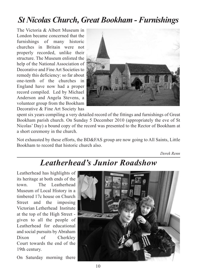# *St Nicolas Church, Great Bookham - Furnishings*

The Victoria & Albert Museum in London became concerned that the furnishings of many historic churches in Britain were not properly recorded, unlike their structure. The Museum enlisted the help of the National Association of Decorative and Fine Art Societies to remedy this deficiency: so far about one-tenth of the churches in England have now had a proper record compiled. Led by Michael Anderson and Angela Stevens, a volunteer group from the Bookham Decorative & Fine Art Society has



spent six years compiling a very detailed record of the fittings and furnishings of Great Bookham parish church. On Sunday 5 December 2010 (appropriately the eve of St Nicolas' Day) a bound copy of the record was presented to the Rector of Bookham at a short ceremony in the church.

Not exhausted by these efforts, the BD&FAS group are now going to All Saints, Little Bookham to record that historic church also.

*Derek Renn*

# *Leatherhead's Junior Roadshow*

Leatherhead has highlights of its heritage at both ends of the town. The Leatherhead Museum of Local History in a timbered 17c house on Church Street and the imposing Victorian Letherhead Institute at the top of the High Street given to all the people of Leatherhead for educational and social pursuits by Abraham Dixon of Cherkley Court towards the end of the 19th century.

On Saturday morning there

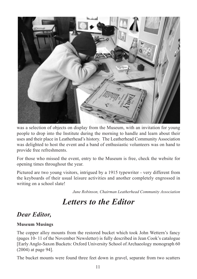

was a selection of objects on display from the Museum, with an invitation for young people to drop into the Institute during the morning to handle and learn about their uses and their place in Leatherhead's history. The Leatherhead Community Association was delighted to host the event and a band of enthusiastic volunteers was on hand to provide free refreshments.

For those who missed the event, entry to the Museum is free, check the website for opening times throughout the year.

Pictured are two young visitors, intrigued by a 1915 typewriter - very different from the keyboards of their usual leisure activities and another completely engrossed in writing on a school slate!

*June Robinson, Chairman Leatherhead Community Association*

# *Letters to the Editor*

# *Dear Editor,*

### **Museum Musings**

The copper alloy mounts from the restored bucket which took John Wettern's fancy (pages 10- 11 of the November Newsletter) is fully described in Jean Cook's catalogue [Early Anglo-Saxon Buckets: Oxford University School of Archaeology monograph 60 (2004) at page 94].

The bucket mounts were found three feet down in gravel, separate from two scatters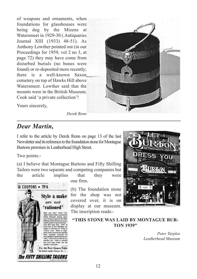of weapons and ornaments, when foundations for glasshouses were being dug by the Mizens at Watersmeet in 1929-30 (.Antiquaries Journal XIII (1933) 48-51). As Anthony Lowther pointed out (in our Proceedings for 1959; vol 2 no 3, at page 72) they may have come from disturbed burials (no bones were found) or re-deposited more recently; there is a well-known Saxon cemetery on top of Hawks Hill above Watersmeet. Lowther said that the mounts were in the British Museum; Cook said 'a private collection'!



Yours sincerely,

*Derek Renn*

# *Dear Martin,*

I refer to the article by Derek Renn on page 13 of the last Newsletter and its reference to the foundation stone for Montague Burtons premises in Leatherhead High Street.

Two points:-

16 COUPONS + 79/6

(a) I believe that Montague Burtons and Fifty Shilling Tailors were two separate and competing companies but the article implies that they were

one firm.

(b) The foundation stone for the shop was not covered over, it is on display at our museum. The inscription reads:-



# **Style & make** are not 'rationed'

For the Best Coupon Valu

The FIFTY SHILLING TAILORS

**"THIS STONE WAS LAID BY MONTAGUE BUR-TON 1939"**

> *Peter Tarplee Leatherhead Museum*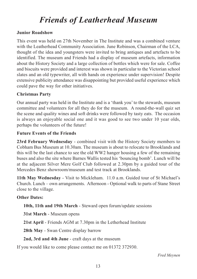# *Friends of Leatherhead Museum*

### **Junior Roadshow**

This event was held on 27th November in The Institute and was a combined venture with the Leatherhead Community Association. June Robinson, Chairman of the LCA, thought of the idea and youngsters were invited to bring antiques and artefacts to be identified. The museum and Friends had a display of museum artefacts, information about the History Society and a large collection of bottles which were for sale. Coffee and biscuits were provided and interest was shown in particular to the Victorian school slates and an old typewriter, all with hands on experience under supervision! Despite extensive publicity attendance was disappointing but provided useful experience which could pave the way for other initiatives.

### **Christmas Party**

Our annual party was held in the Institute and is a 'thank you'to the stewards, museum committee and volunteers for all they do for the museum. A round-the-wall quiz set the scene and quality wines and soft drinks were followed by tasty eats. The occasion is always an enjoyable social one and it was good to see two under 10 year olds, perhaps the volunteers of the future!

### **Future Events of the Friends**

**23rd February Wednesday** - combined visit with the History Society members to Cobham Bus Museum at 10.30am. The museum is about to relocate to Brooklands and this will be the last chance to see the old WW2 hanger housing a few of the remaining buses and also the site where Barnes Wallis tested his 'bouncing bomb'. Lunch will be at the adjacent Silver Mere Golf Club followed at 2.30pm by a guided tour of the Mercedes Benz showroom/museum and test track at Brooklands.

**11th May Wednesday** - Visit to Mickleham. 11.0 a.m. Guided tour of St Michael's Church. Lunch – own arrangements. Afternoon - Optional walk to parts of Stane Street close to the village.

### **Other Dates:**

**10th, 11th and 19th March** - Steward open forum/update sessions

**31st March** - Museum opens

**21st April** - Friends AGM at 7.30pm in the Letherhead Institute

**28th May** - Swan Centre display barrow

**2nd, 3rd and 4th June** - craft days at the museum

If you would like to come please contact me on 01372 372930.

*Fred Meynen*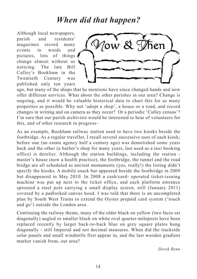# *When did that happen?*

Although local newspapers, parish and residents' magazines record many events in words and pictures, lots of things change almost without us noticing. The late Bill Culley's Bookham in the Twentieth Century was published only ten years



ago, but many of the shops that he mentions have since changed hands and now offer different services. What about the other parishes in our area? Change is ongoing, and it would be valuable historical data to chart this for as many properties as possible. Why not 'adopt a shop', a house or a road, and record changes in writing and on camera as they occur? Or a periodic 'Culley census'? I'm sure that our parish archivists would be interested to hear of volunteers for this, and of other research in progress-

As an example, Bookham railway station used to have two kiosks beside the footbridge. As a regular traveller, I recall several successive uses of each kiosk; before one (an estate agency half a century ago) was demolished some years back and the other (a barber's shop for many years, last used as a taxi booking office) is derelict. Although the station buildings, including the station master's house (now a health practice), the footbridge, the tunnel and the road bridge are all scheduled as ancient monuments (yes, really!) the listing didn't specify the kiosks. A mobile snack bar appeared beside the footbridge in 2009 but disappeared in May 2010. In 2008 a cash/card- operated ticket-issuing machine was put up next to the ticket office, and each platform entrance sprouted a steel pole carrying a small display screen, still (January 2011) covered by a padlocked canvas hood. I was told that there is an uncompleted plan by South West Trains to extend the Oyster prepaid card system ('touch and go') outside the London area.

Continuing the railway theme, many of the older black on yellow (two faces set diagonally) angled or smaller black on white oval quarter-mileposts have been replaced recently by larger back-to-back blue on grey square plates hung diagonally - still Imperial and not decimal measures. When did the trackside solar panels and small windmills first appear in, and the last wooden gradient marker vanish from, our area?

*Derek Renn*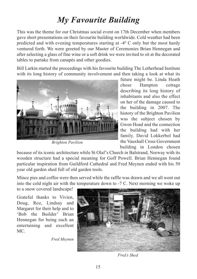# *My Favourite Building*

This was the theme for our Christmas social event on 17th December when members gave short presentations on their favourite building worldwide. Cold weather had been predicted and with evening temperatures starting at -4º C only but the most hardy ventured forth. We were greeted by our Master of Ceremonies Brian Hennegan and after selecting a glass of fine wine or a soft drink we were invited to sit at the decorated tables to partake from canapés and other goodies.

Bill Larkin started the proceedings with his favourite building The Letherhead Institute with its long history of community involvement and then taking a look at what its



*Brighton Pavilion*

future might be. Linda Heath chose Hampton cottage describing its long history of inhabitants and also the effect on her of the damage caused to the building in 2007. The history of the Brighton Pavilion was the subject chosen by Gwen Hoad and the connection the building had with her family. David Lokkerbol had the Vauxhall Cross Government building in London chosen

because of its iconic architecture while St Olaf's Church in Balstrand, Norway with its wooden structure had a special meaning for Goff Powell. Brian Hennegan found particular inspiration from Guildford Cathedral and Fred Meynen ended with his 50 year old garden shed full of old garden tools.

Mince pies and coffee were then served while the raffle was drawn and we all went out into the cold night air with the temperature down to -7 C. Next morning we woke up

to a snow covered landscape!

Grateful thanks to Vivien, Doug, Roz, Lindsay and Margaret for their help and to 'Bob the Builder' Brian Hennegan for being such an entertaining and excellent MC.

*Fred Meynen*



*Fred's Shed*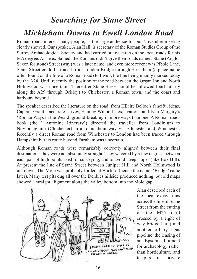# *Searching for Stane Street Mickleham Downs to Ewell London Road*

Roman roads interest many people, as the large audience for our November meeting clearly showed. Our speaker, Alan Hall, is secretary of the Roman Studies Group of the Surrey Archaeological Society and had carried out research on the local roads for his MA degree. As he explained, the Romans didn't give their roads names. Stane (Anglo-Saxon for stone) Street (way) was a later name, and even more recent was Pibble Lane. Stane Street could be traced from London Bridge through Streatham (a place-name often found on the line of a Roman road) to Ewell, the line being mainly marked today by the A24. Until recently the position of the road between the Organ Inn and North Holmwood was uncertain.. Thereafter Stane Street could be followed (particularly along the A29 through Ockley) to Chichester, a Roman town, and the coast and harbours beyond.

The speaker described the literature on the road, from Hilaire Belloc's fanciful ideas, Captain Grant's accurate survey, Stanley Winbolt's excavations and Ivan Margary's 'Roman Ways in the Weald' ground-breaking in more ways than one. A Roman roadbook (the ' Antonine Itinerary') directed the traveller from Londinium to Noviomagnum (Chichester) in a roundabout way via Silchester and Winchester. Recently a direct Roman road from Winchester to London had been traced through Hampshire but its route beyond Farnham was uncertain.

Although Roman roads were remarkably correctly aligned between their final destinations, they were not absolutely straight. They wavered by a few degrees between each pair of high points used for surveying, and to avoid steep slopes (like Box Hill). At present the line of Stane Street between Juniper Hill and North Holmwood is unknown. The Mole was probably forded at Burford (hence the name: 'Bridge' came later). Many test pits dug all over the Denbies hillside produced nothing, but old maps showed a straight alignment along the valley bottom into the Mole gap.



Alan described each of the local excavations across the line of Stane Street from the cutting of the M25 (still crossed by a right of way bridge here) and another to bury a gas pipeline, the leasing of an Epsom allotment for archaeology rather than horticulture, and testpits in private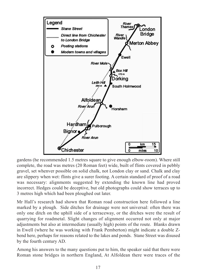

gardens (he recommended 1.5 metres square to give enough elbow-room). Where still complete, the road was metres (20 Roman feet) wide, built of flints covered in pebbly gravel, set whenver possible on solid chalk, not London clay or sand. Chalk and clay are slippery when wet: flints give a surer footing. A certain standard of proof of a road was necessary: alignments suggested by extending the known line had proved incorrect. Hedges could be deceptive, but old photographs could show terraces up to 3 metres high which had been ploughed out later.

Mr Hall's research had shown that Roman road construction here followed a line marked by a plough. Side ditches for drainage were not universal: often there was only one ditch on the uphill side of a terraceway, or the ditches were the result of quarrying for roadmetal. Slight changes of alignment occurred not only at major adjustments but also at intermediate (usually high) points of the route. Blanks drawn in Ewell (where he was working with Frank Pemberton) might indicate a double Zbend here, perhaps for reasons related to the lakes and ponds. Stane Street was disused by the fourth century AD.

Among his answers to the many questions put to him, the speaker said that there were Roman stone bridges in northern England, At Alfoldean there were traces of the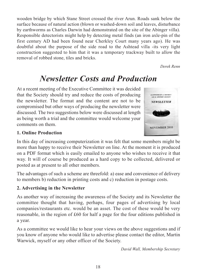wooden bridge by which Stane Street crossed the river Arun. Roads sank below the surface because of natural action (blown or washed-down soil and leaves, disturbance by earthworms as Charles Darwin had demonstrated on the site of the Abinger villa). Responsible detectorists might help by detecting metal finds (an iron axle-pin of the first century AD had been found near Cherkley Court many years ago). He was doubtful about the purpose of the side road to the Ashtead villa -its very light construction suggested to him that it was a temporary trackway built to allow the removal of robbed stone, tiles and bricks.

*Derek Renn*

# *Newsletter Costs and Production*

At a recent meeting of the Executive Committee it was decided that the Society should try and reduce the costs of producing the newsletter. The format and the content are not to be compromised but other ways of producing the newsletter were discussed. The two suggestions below were discussed at length as being worth a trial and the committee would welcome your comments on them.



## **1. Online Production**

In this day of increasing computerization it was felt that some members might be more than happy to receive their Newsletter on line. At the moment it is produced on a PDF format which is easily emailed to anyone who wishes to receive it that way. It will of course be produced as a hard copy to be collected, delivered or posted as at present to all other members.

The advantages of such a scheme are threefold: a) ease and convenience of delivery to members b) reduction in printing costs and c) reduction in postage costs.

## **2. Advertising in the Newsletter**

As another way of increasing the awareness of the Society and its Newsletter the committee thought that having, perhaps, four pages of advertising by local companies/restaurants etc. would be an asset. The cost of these would be very reasonable, in the region of £60 for half a page for the four editions published in a year.

As a committee we would like to hear your views on the above suggestions and if you know of anyone who would like to advertise please contact the editor, Martin Warwick, myself or any other officer of the Society.

*David Wall, Membership Secretary*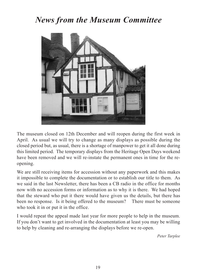# *News from the Museum Committee*



The museum closed on 12th December and will reopen during the first week in April. As usual we will try to change as many displays as possible during the closed period but, as usual, there is a shortage of manpower to get it all done during this limited period. The temporary displays from the Heritage Open Days weekend have been removed and we will re-instate the permanent ones in time for the reopening.

We are still receiving items for accession without any paperwork and this makes it impossible to complete the documentation or to establish our title to them. As we said in the last Newsletter, there has been a CB radio in the office for months now with no accession forms or information as to why it is there. We had hoped that the steward who put it there would have given us the details, but there has been no response. Is it being offered to the museum? There must be someone who took it in or put it in the office.

I would repeat the appeal made last year for more people to help in the museum. If you don't want to get involved in the documentation at least you may be willing to help by cleaning and re-arranging the displays before we re-open.

*Peter Tarplee*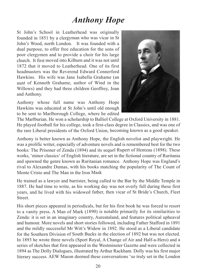# *Anthony Hope*

St John's School in Leatherhead was originally founded in 1851 by <sup>a</sup> clergyman who was vicar in St John's Wood, north London. It was founded with <sup>a</sup> dual purpose, to offer free education for the sons of poor clergymen and to provide <sup>a</sup> choir for his large church. It first moved into Kilburn and it was not until 1872 that it moved to Leatherhead. One of its first headmasters was the Reverend Edward Connerford Hawkins. His wife was Jane Isabella Grahame (an aunt of Kenneth Grahame, author of Wind in the Willows) and they had three children Geoffrey, Joan and Anthony.

Anthony whose full name was Anthony Hope Hawkins was educated at St John's until old enough to be sent to Marlborough College, where he edited



The Marlburian. He won <sup>a</sup> scholarship to Balliol College at Oxford University in 1881. He played football for his college, took <sup>a</sup> first-class degree in Classics, and was one of the rare Liberal presidents of the Oxford Union, becoming known as <sup>a</sup> good speaker.

Anthony is better known as Anthony Hope, the English novelist and playwright. He was <sup>a</sup> prolific writer, especially of adventure novels and is remembered best for the two books: The Prisoner of Zenda (1894) and its sequel Rupert of Hentzau (1898). These works, 'minor classics' of English literature, are set in the fictional country of Ruritania and spawned the genre known as Ruritanian romance. Anthony Hope was England's rival to Alexandre Dumas, with his books matching the popularity of The Count of Monte Cristo and The Man in the Iron Mask

He trained as <sup>a</sup> lawyer and barrister, being called to the Bar by the Middle Temple in 1887. He had time to write, as his working day was not overly full during these first years, and he lived with his widowed father, then vicar of St Bride's Church, Fleet Street.

His short pieces appeared in periodicals, but for his first book he was forced to resort to <sup>a</sup> vanity press. A Man of Mark (1890) is notable primarily for its similarities to Zenda: it is set in an imaginary country, Aureataland, and features political upheaval and humour. More novels and short stories followed, including Father Stafford in 1891 and the mildly successful Mr Witt's Widow in 1892. He stood as <sup>a</sup> Liberal candidate for the Southern Division of South Bucks in the election of 1892 but was not elected. In 1893 he wrote three novels (Sport Royal, A Change of Air and Half-a-Hero) and <sup>a</sup> series of sketches that first appeared in the Westminster Gazette and were collected in 1894 as The Dolly Dialogues, illustrated by Arthur Rackham. Dolly was his first major literary success. AEW Mason deemed these conversations 'so truly set in the London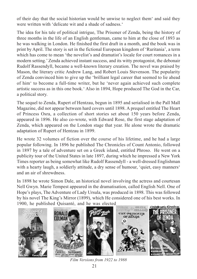of their day that the social historian would be unwise to neglect them' and said they were written with 'delicate wit and a shade of sadness.'

The idea for his tale of political intrigue, The Prisoner of Zenda, being the history of three months in the life of an English gentleman, came to him at the close of 1893 as he was walking in London. He finished the first draft in a month, and the book was in print by April. The story is set in the fictional European kingdom of 'Ruritania', a term which has come to mean 'the novelist's and dramatist's locale for court romances in a modern setting.'Zenda achieved instant success, and its witty protagonist, the debonair Rudolf Rassendyll, became a well-known literary creation. The novel was praised by Mason, the literary critic Andrew Lang, and Robert Louis Stevenson. The popularity of Zenda convinced him to give up the 'brilliant legal career that seemed to lie ahead of him' to become a full-time writer, but he 'never again achieved such complete artistic success as in this one book.' Also in 1894, Hope produced The God in the Car, a political story.

The sequel to Zenda, Rupert of Hentzau, begun in 1895 and serialised in the Pall Mall Magazine, did not appear between hard covers until 1898. A prequel entitled The Heart of Princess Osra, a collection of short stories set about 150 years before Zenda, appeared in 1896. He also co-wrote, with Edward Rose, the first stage adaptation of Zenda, which appeared on the London stage that year. He alone wrote the dramatic adaptation of Rupert of Hentzau in 1899.

He wrote 32 volumes of fiction over the course of his lifetime, and he had a large popular following. In 1896 he published The Chronicles of Count Antonio, followed in 1897 by a tale of adventure set on a Greek island, entitled Phroso. He went on a publicity tour of the United States in late 1897, during which he impressed a New York Times reporter as being somewhat like Rudolf Rassendyll - a well-dressed Englishman with a hearty laugh, a soldierly attitude, a dry sense of humour, 'quiet, easy manners' and an air of shrewdness.

In 1898 he wrote Simon Dale, an historical novel involving the actress and courtesan Nell Gwyn. Marie Tempest appeared in the dramatisation, called English Nell. One of Hope's plays, The Adventure of Lady Ursula, was produced in 1898. This was followed by his novel The King's Mirror (1899), which He considered one of his best works. In 1900, he published Quisanté, and he was elected



*Film Versions from 1922 to 1988*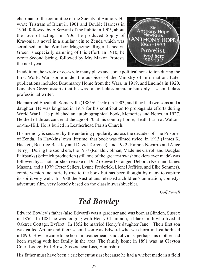chairman of the committee of the Society of Authors. He wrote Tristram of Blent in 1901 and Double Harness in 1904, followed by A Servant of the Public in 1905, about the love of acting. In 1906, he produced Sophy of Kravonia, a novel in a similar vein to Zenda which was serialised in the Windsor Magazine; Roger Lancelyn Green is especially damning of this effort. In 1910, he wrote Second String, followed by Mrs Maxon Protests the next year.



In addition, he wrote or co-wrote many plays and some political non-fiction during the First World War, some under the auspices of the Ministry of Information. Later publications included Beaumaroy Home from the Wars, in 1919, and Lucinda in 1920. Lancelyn Green asserts that he was 'a first-class amateur but only a second-class professional writer.

He married Elizabeth Somerville (1885/6–1946) in 1903, and they had two sons and a daughter. He was knighted in 1918 for his contribution to propaganda efforts during World War I. He published an autobiographical book, Memories and Notes, in 1927. He died of throat cancer at the age of 70 at his country home, Heath Farm at Waltonon-the-Hill. He is buried in Leatherhead Parish Church.

His memory is secured by the enduring popularity across the decades of The Prisoner of Zenda. In Hawkins' own lifetime, that book was filmed twice, in 1913 (James K. Hackett, Beatrice Beckley and David Torrence), and 1922 (Ramon Novarro and Alice Terry). During the sound era, the 1937 (Ronald Colman, Madeline Carroll and Douglas Fairbanks) Selznick production (still one of the greatest swashbucklers ever made) was followed by a shot-for-shot remake in 1952 (Stewart Granger, Deborah Kerr and James Mason), and a 1979 (Peter Sellers, Lynne Frederick, Lionel Jeffries, and Elke Sommer), comic version not strictly true to the book but has been thought by many to capture its spirit very well. In 1988 the Australians released a children's animation, comedyadventure film, very loosely based on the classic swashbuckler.

*Goff Powell*

# *Ted Bowley*

Edward Bowley's father (also Edward) was a gardener and was born at Slindon, Sussex in 1856. In 1881 he was lodging with Henry Champion, a blacksmith who lived at Oaktree Cottage, Byfleet. In 1852 he married Henry's daughter Jane. Their first son was called Arthur and their second son was Edward who was born in Leatherhead in1890. How he came to be born in Leatherhead is not obvious, perhaps his mother had been staying with her family in the area. The family home in 1891 was at Clayton Court Lodge, Hill Brow, Sussex near Liss, Hampshire.

His father must have been a cricket enthusiast because he had a wicket made in a field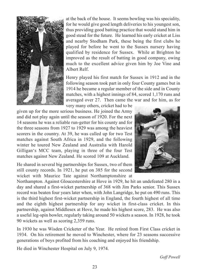

at the back of the house. It seems bowling was his speciality, for he would give good length deliveries to his youngest son, thus providing good batting practice that would stand him in good stead for the future. He learned his early cricket at Liss and nearby Stodham Park, these being the first clubs he played for before he went to the Sussex nursery having qualified by residence for Sussex. While at Brighton he improved as the result of batting in good company, owing much to the excellent advice given him by Joe Vine and Albert Relf.

Henry played his first match for Sussex in 1912 and in the following season took part in only four County games but in 1914 he became a regular member of the side and in County matches, with a highest innings of 84, scored 1,170 runs and averaged over 27. Then came the war and for him, as for very many others, cricket had to be

given up for the more serious business. He joined the Army and did not play again until the season of 1920. For the next 14 seasons he was a reliable run-getter for his county and for the three seasons from 1927 to 1929 was among the heaviest scorers in the country. At 39, he was called up for two Test matches against South Africa in 1929, and the following winter he toured New Zealand and Australia with Harold Gilligan's MCC team, playing in three of the four Test matches against New Zealand. He scored 109 at Auckland.

He shared in several big partnerships for Sussex, two of them still county records. In 1921, he put on 385 for the second wicket with Maurice Tate against Northamptonshire at



Northampton. Against Gloucestershire at Hove in 1929, he hit an undefeated 280 in a day and shared a first-wicket partnership of 368 with Jim Parks senior. This Sussex record was beaten four years later when, with John Langridge, he put on 490 runs. This is the third highest first-wicket partnership in England, the fourth highest of all time and the eighth highest partnership for any wicket in first-class cricket. In this partnership, against Middlesex at Hove, he made his highest score, 283. He was also a useful leg-spin bowler, regularly taking around 50 wickets a season. In 1928, he took 90 wickets as well as scoring 2,359 runs.

In 1930 he was Wisden Cricketer of the Year. He retired from First Class cricket in 1934. On his retirement he moved to Winchester, where for 23 seasons successive generations of boys profited from his coaching and enjoyed his friendship.

He died in Winchester Hospital on July 9, 1974.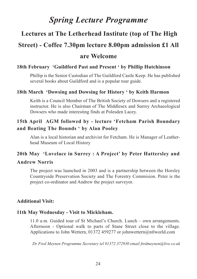# *Spring Lecture Programme*

# **Lectures at The Letherhead Institute (top of The High**

# **Street) - Coffee 7.30pm lecture 8.00pm admission £1 All**

# **are Welcome**

## **18th February 'Guildford Past and Present ' by Phillip Hutchinson**

Phillip is the Senior Custodian of The Guildford Castle Keep. He has published several books about Guildford and is a popular tour guide.

#### **18th March 'Dowsing and Dowsing for History ' by Keith Harmon**

Keith is a Council Member of The British Society of Dowsers and a registered instructor. He is also Chairman of The Middlesex and Surrey Archaeological Dowsers who made interesting finds at Polesden Lacey.

# **15th April AGM followed by - lecture 'Fetcham Parish Boundary and Beating The Bounds ' by Alan Pooley**

Alan is a local historian and archivist for Fetcham. He is Manager of Leatherhead Museum of Local History

### **20th May 'Lovelace in Surrey : A Project' by Peter Hattersley and**

### **Andrew Norris**

The project was launched in 2003 and is a partnership between the Horsley Countryside Preservation Society and The Forestry Commision. Peter is the project co-ordinator and Andrew the project surveyor.

### **Additional Visit:**

#### **11th May Wednesday - Visit to Mickleham.**

11.0 a.m. Guided tour of St Michael's Church. Lunch – own arrangements. Afternoon - Optional walk to parts of Stane Street close to the village. Applications to John Wettern, 01372 459277 or johnwettern@ntlworld.com

*Dr Fred Meynen Programme Secretary tel 01372 372930 email fredmeynen@live.co.uk*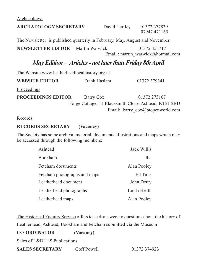Archaeology

| <b>ARCHAEOLOGY SECRETARY</b>                                                 |              | David Hartley | 01372 377839<br>07947 471165                          |
|------------------------------------------------------------------------------|--------------|---------------|-------------------------------------------------------|
| The Newsletter is published quarterly in February, May, August and November. |              |               |                                                       |
| <b>NEWSLETTER EDITOR</b> Martin Warwick                                      |              |               | 01372 453717<br>Email: martin warwick@hotmail.com     |
| May Edition – Articles - not later than Friday 8th April                     |              |               |                                                       |
| The Website www.leatherheadlocalhistory.org.uk                               |              |               |                                                       |
| <b>WEBSITE EDITOR</b>                                                        | Frank Haslam |               | 01372 379341                                          |
| <b>Proceedings</b>                                                           |              |               |                                                       |
| <b>PROCEEDINGS EDITOR</b>                                                    | Barry Cox    |               | 01372 273167                                          |
|                                                                              |              |               | Forge Cottage, 11 Blacksmith Close, Ashtead, KT21 2BD |
|                                                                              |              |               | Email: barry cox@btopenworld.com                      |
| Records                                                                      |              |               |                                                       |
| <b>RECORDS SECRETARY</b>                                                     | (Vacancy)    |               |                                                       |

The Society has some archival material, documents, illustrations and maps which may be accessed through the following members:

| Ashtead                      | Jack Willis |
|------------------------------|-------------|
| Bookham                      | tba         |
| Fetcham documents            | Alan Pooley |
| Fetcham photographs and maps | Ed Tims     |
| Leatherhead document         | John Derry  |
| Leatherhead photographs      | Linda Heath |
| Leatherhead maps             | Alan Pooley |

The Historical Enquiry Service offers to seek answers to questions about the history of Leatherhead, Ashtead, Bookham and Fetcham submitted via the Museum

| <b>CO-ORDINATOR</b>          | (Vacancy)   |              |
|------------------------------|-------------|--------------|
| Sales of L&DLHS Publications |             |              |
| <b>SALES SECRETARY</b>       | Goff Powell | 01372 374923 |